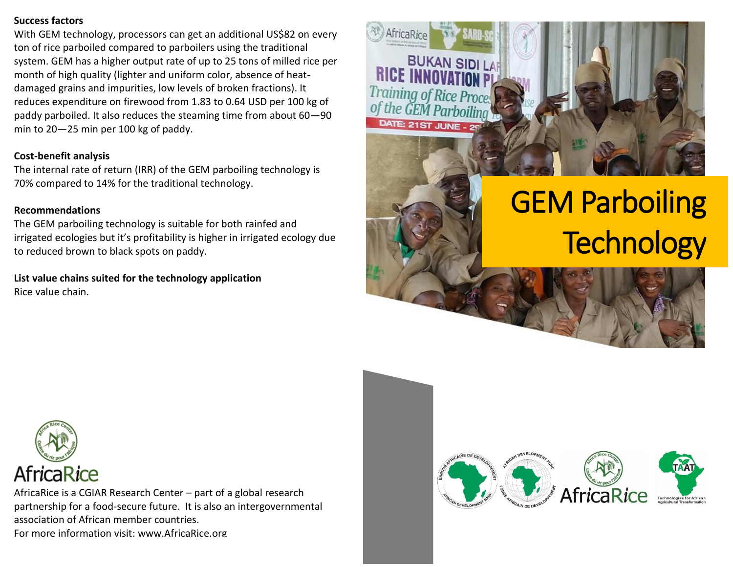# **Success factors**

With GEM technology, processors can get an additional US\$82 on every ton of rice parboiled compared to parboilers using the traditional system. GEM has a higher output rate of up to 25 tons of milled rice per month of high quality (lighter and uniform color, absence of heatdamaged grains and impurities, low levels of broken fractions). It reduces expenditure on firewood from 1.83 to 0.64 USD per 100 kg of paddy parboiled. It also reduces the steaming time from about 60—90 min to 20—25 min per 100 kg of paddy.

# **Cost-benefit analysis**

The internal rate of return (IRR) of the GEM parboiling technology is 70% compared to 14% for the traditional technology.

# **Recommendations**

The GEM parboiling technology is suitable for both rainfed and irrigated ecologies but it's profitability is higher in irrigated ecology due to reduced brown to black spots on paddy.

**List value chains suited for the technology application** Rice value chain.



# GEM Parboiling **Technology**



AfricaRice is a CGIAR Research Center – part of a global research partnership for a food-secure future. It is also an intergovernmental association of African member countries. For more information visit: www.AfricaRice.org